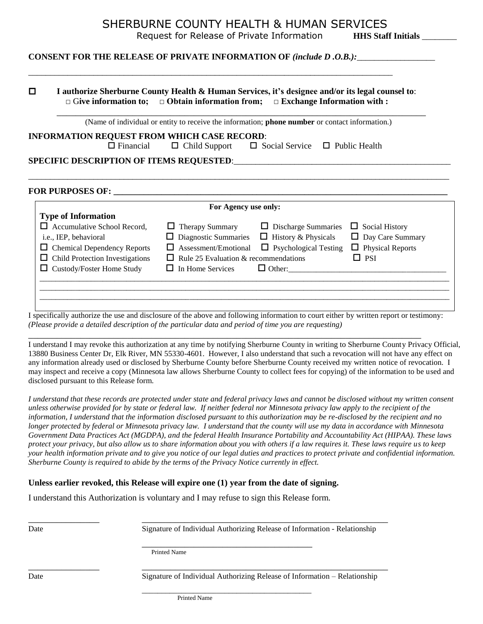## SHERBURNE COUNTY HEALTH & HUMAN SERVICES

Request for Release of Private Information **HHS Staff Initials** 

### **CONSENT FOR THE RELEASE OF PRIVATE INFORMATION OF** *(include D .O.B.):*\_\_\_\_\_\_\_\_\_\_\_\_\_\_\_\_\_\_

\_\_\_\_\_\_\_\_\_\_\_\_\_\_\_\_\_\_\_\_\_\_\_\_\_\_\_\_\_\_\_\_\_\_\_\_\_\_\_\_\_\_\_\_\_\_\_\_\_\_\_\_\_\_\_\_\_\_\_\_\_\_\_\_\_\_\_\_\_\_\_\_\_\_\_\_\_\_\_\_\_\_\_\_

|                                                                            |                                                        | (Name of individual or entity to receive the information; phone number or contact information.) |                         |
|----------------------------------------------------------------------------|--------------------------------------------------------|-------------------------------------------------------------------------------------------------|-------------------------|
| INFORMATION REQUEST FROM WHICH CASE RECORD:                                |                                                        |                                                                                                 |                         |
| $\Box$ Financial                                                           |                                                        | $\Box$ Child Support $\Box$ Social Service $\Box$ Public Health                                 |                         |
|                                                                            |                                                        |                                                                                                 |                         |
|                                                                            | For Agency use only:                                   |                                                                                                 |                         |
| <b>Type of Information</b>                                                 |                                                        |                                                                                                 |                         |
| $\Box$ Accumulative School Record,                                         |                                                        | $\Box$ Therapy Summary $\Box$ Discharge Summaries $\Box$ Social History                         |                         |
| i.e., IEP, behavioral                                                      | $\Box$ Diagnostic Summaries $\Box$ History & Physicals |                                                                                                 | $\Box$ Day Care Summary |
|                                                                            | $\Box$ Assessment/Emotional                            | $\Box$ Psychological Testing $\Box$ Physical Reports                                            | $\Box$ PSI              |
| $\Box$ Chemical Dependency Reports<br>Child Protection Investigations<br>⊔ | $\Box$ Rule 25 Evaluation & recommendations            |                                                                                                 |                         |

I specifically authorize the use and disclosure of the above and following information to court either by written report or testimony: *(Please provide a detailed description of the particular data and period of time you are requesting)*

\_\_\_\_\_\_\_\_\_\_\_\_\_\_\_\_\_\_\_\_\_\_\_\_\_\_\_\_\_\_\_\_\_\_\_\_\_\_\_\_\_\_\_\_\_\_\_\_\_\_\_\_\_\_\_\_\_\_\_\_\_\_\_\_\_\_\_\_\_\_\_\_\_\_\_\_\_\_\_\_\_\_\_

I understand I may revoke this authorization at any time by notifying Sherburne County in writing to Sherburne County Privacy Official, 13880 Business Center Dr, Elk River, MN 55330-4601. However, I also understand that such a revocation will not have any effect on any information already used or disclosed by Sherburne County before Sherburne County received my written notice of revocation. I may inspect and receive a copy (Minnesota law allows Sherburne County to collect fees for copying) of the information to be used and disclosed pursuant to this Release form.

*I understand that these records are protected under state and federal privacy laws and cannot be disclosed without my written consent unless otherwise provided for by state or federal law. If neither federal nor Minnesota privacy law apply to the recipient of the information, I understand that the information disclosed pursuant to this authorization may be re-disclosed by the recipient and no longer protected by federal or Minnesota privacy law. I understand that the county will use my data in accordance with Minnesota Government Data Practices Act (MGDPA), and the federal Health Insurance Portability and Accountability Act (HIPAA). These laws protect your privacy, but also allow us to share information about you with others if a law requires it. These laws require us to keep your health information private and to give you notice of our legal duties and practices to protect private and confidential information. Sherburne County is required to abide by the terms of the Privacy Notice currently in effect.*

#### **Unless earlier revoked, this Release will expire one (1) year from the date of signing.**

I understand this Authorization is voluntary and I may refuse to sign this Release form.

Date Signature of Individual Authorizing Release of Information - Relationship

Printed Name

Date Signature of Individual Authorizing Release of Information – Relationship

\_\_\_\_\_\_\_\_\_\_\_\_\_\_\_ \_\_\_\_\_\_\_\_\_\_\_\_\_\_\_\_\_\_\_\_\_\_\_\_\_\_\_\_\_\_\_\_\_\_\_\_\_\_\_\_\_\_\_\_\_\_\_\_\_\_\_\_

\_\_\_\_\_\_\_\_\_\_\_\_\_\_\_ \_\_\_\_\_\_\_\_\_\_\_\_\_\_\_\_\_\_\_\_\_\_\_\_\_\_\_\_\_\_\_\_\_\_\_\_\_\_\_\_\_\_\_\_\_\_\_\_\_\_\_\_

\_\_\_\_\_\_\_\_\_\_\_\_\_\_\_\_\_\_\_\_\_\_\_\_\_\_\_\_\_\_\_\_\_\_\_\_

\_\_\_\_\_\_\_\_\_\_\_\_\_\_\_\_\_\_\_\_\_\_\_\_\_\_\_\_\_\_\_\_\_\_\_\_\_\_\_\_\_\_\_